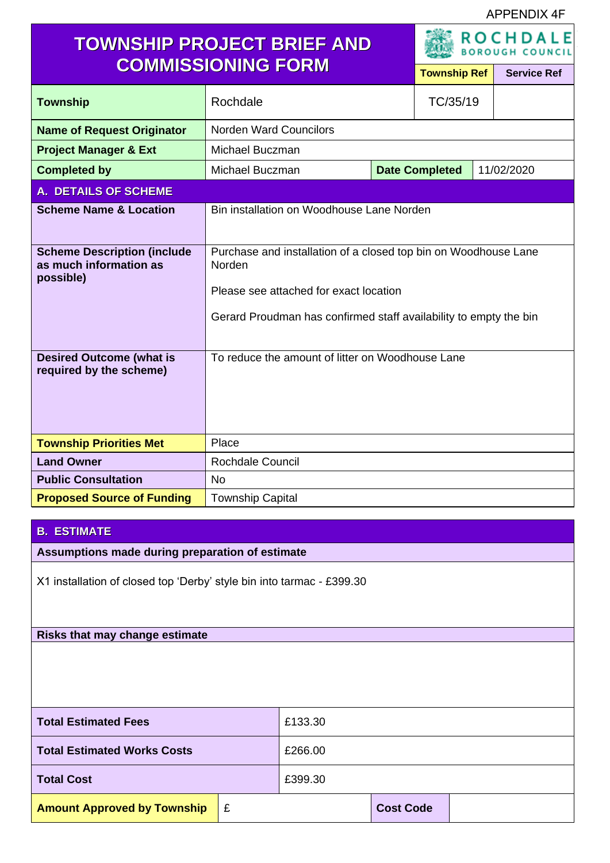APPENDIX 4F

| <b>TOWNSHIP PROJECT BRIEF AND</b><br><b>COMMISSIONING FORM</b>            |                                                                                                                                                                                          | <b>ROCHDALE</b><br><b>BOROUGH COUNCIL</b> |                                     |  |                    |
|---------------------------------------------------------------------------|------------------------------------------------------------------------------------------------------------------------------------------------------------------------------------------|-------------------------------------------|-------------------------------------|--|--------------------|
|                                                                           |                                                                                                                                                                                          |                                           | <b>Township Ref</b>                 |  | <b>Service Ref</b> |
| <b>Township</b>                                                           | Rochdale                                                                                                                                                                                 |                                           | TC/35/19                            |  |                    |
| <b>Name of Request Originator</b>                                         | <b>Norden Ward Councilors</b>                                                                                                                                                            |                                           |                                     |  |                    |
| <b>Project Manager &amp; Ext</b>                                          | Michael Buczman                                                                                                                                                                          |                                           |                                     |  |                    |
| <b>Completed by</b>                                                       | Michael Buczman                                                                                                                                                                          |                                           | 11/02/2020<br><b>Date Completed</b> |  |                    |
| <b>A. DETAILS OF SCHEME</b>                                               |                                                                                                                                                                                          |                                           |                                     |  |                    |
| <b>Scheme Name &amp; Location</b>                                         | Bin installation on Woodhouse Lane Norden                                                                                                                                                |                                           |                                     |  |                    |
| <b>Scheme Description (include</b><br>as much information as<br>possible) | Purchase and installation of a closed top bin on Woodhouse Lane<br>Norden<br>Please see attached for exact location<br>Gerard Proudman has confirmed staff availability to empty the bin |                                           |                                     |  |                    |
| <b>Desired Outcome (what is</b><br>required by the scheme)                | To reduce the amount of litter on Woodhouse Lane                                                                                                                                         |                                           |                                     |  |                    |
| <b>Township Priorities Met</b>                                            | Place                                                                                                                                                                                    |                                           |                                     |  |                    |
| <b>Land Owner</b>                                                         | <b>Rochdale Council</b>                                                                                                                                                                  |                                           |                                     |  |                    |
| <b>Public Consultation</b>                                                | <b>No</b>                                                                                                                                                                                |                                           |                                     |  |                    |
| <b>Proposed Source of Funding</b>                                         | <b>Township Capital</b>                                                                                                                                                                  |                                           |                                     |  |                    |

## **B. ESTIMATE**

**Assumptions made during preparation of estimate**

X1 installation of closed top 'Derby' style bin into tarmac - £399.30

## **Risks that may change estimate**

| <b>Total Estimated Fees</b>        |     | £133.30 |                  |  |  |
|------------------------------------|-----|---------|------------------|--|--|
| <b>Total Estimated Works Costs</b> |     | £266.00 |                  |  |  |
| <b>Total Cost</b>                  |     | £399.30 |                  |  |  |
| <b>Amount Approved by Township</b> | l £ |         | <b>Cost Code</b> |  |  |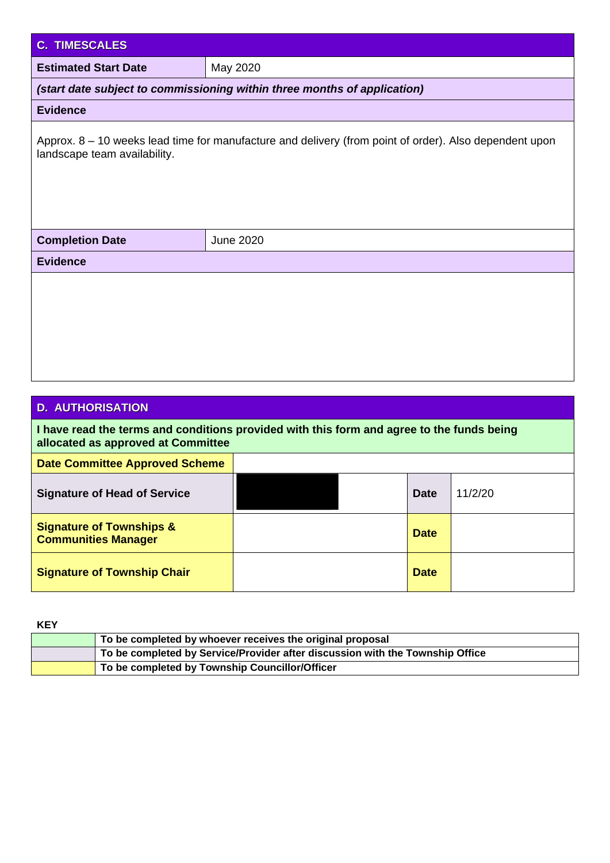| <b>C. TIMESCALES</b>                                                     |                                                                                                        |  |  |
|--------------------------------------------------------------------------|--------------------------------------------------------------------------------------------------------|--|--|
| <b>Estimated Start Date</b>                                              | May 2020                                                                                               |  |  |
| (start date subject to commissioning within three months of application) |                                                                                                        |  |  |
| <b>Evidence</b>                                                          |                                                                                                        |  |  |
| landscape team availability.                                             | Approx. 8 – 10 weeks lead time for manufacture and delivery (from point of order). Also dependent upon |  |  |
| <b>Completion Date</b>                                                   | <b>June 2020</b>                                                                                       |  |  |
| <b>Evidence</b>                                                          |                                                                                                        |  |  |
|                                                                          |                                                                                                        |  |  |

| <b>D. AUTHORISATION</b>                                                                                                         |  |  |             |         |
|---------------------------------------------------------------------------------------------------------------------------------|--|--|-------------|---------|
| I have read the terms and conditions provided with this form and agree to the funds being<br>allocated as approved at Committee |  |  |             |         |
| <b>Date Committee Approved Scheme</b>                                                                                           |  |  |             |         |
| <b>Signature of Head of Service</b>                                                                                             |  |  | <b>Date</b> | 11/2/20 |
| <b>Signature of Townships &amp;</b><br><b>Communities Manager</b>                                                               |  |  | <b>Date</b> |         |
| <b>Signature of Township Chair</b>                                                                                              |  |  | <b>Date</b> |         |

**KEY**

| To be completed by whoever receives the original proposal                     |
|-------------------------------------------------------------------------------|
| To be completed by Service/Provider after discussion with the Township Office |
| To be completed by Township Councillor/Officer                                |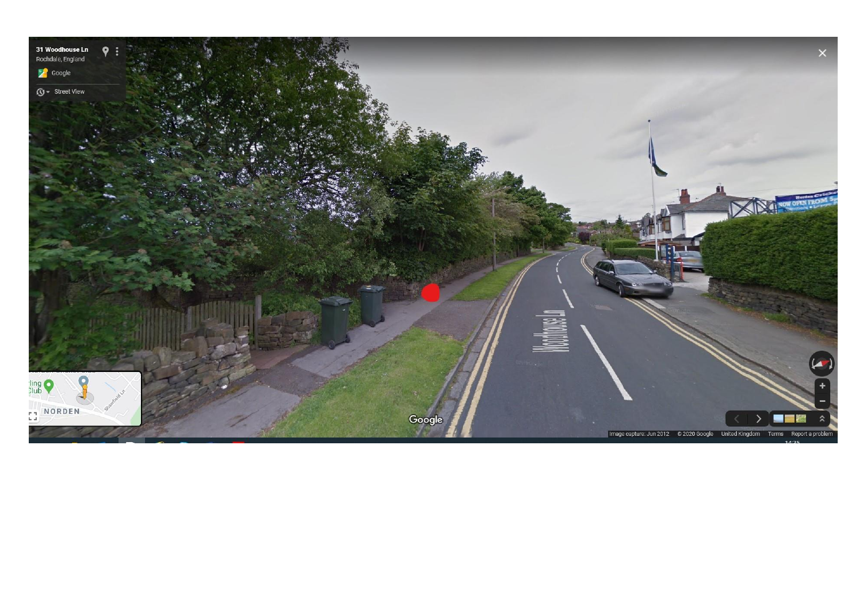